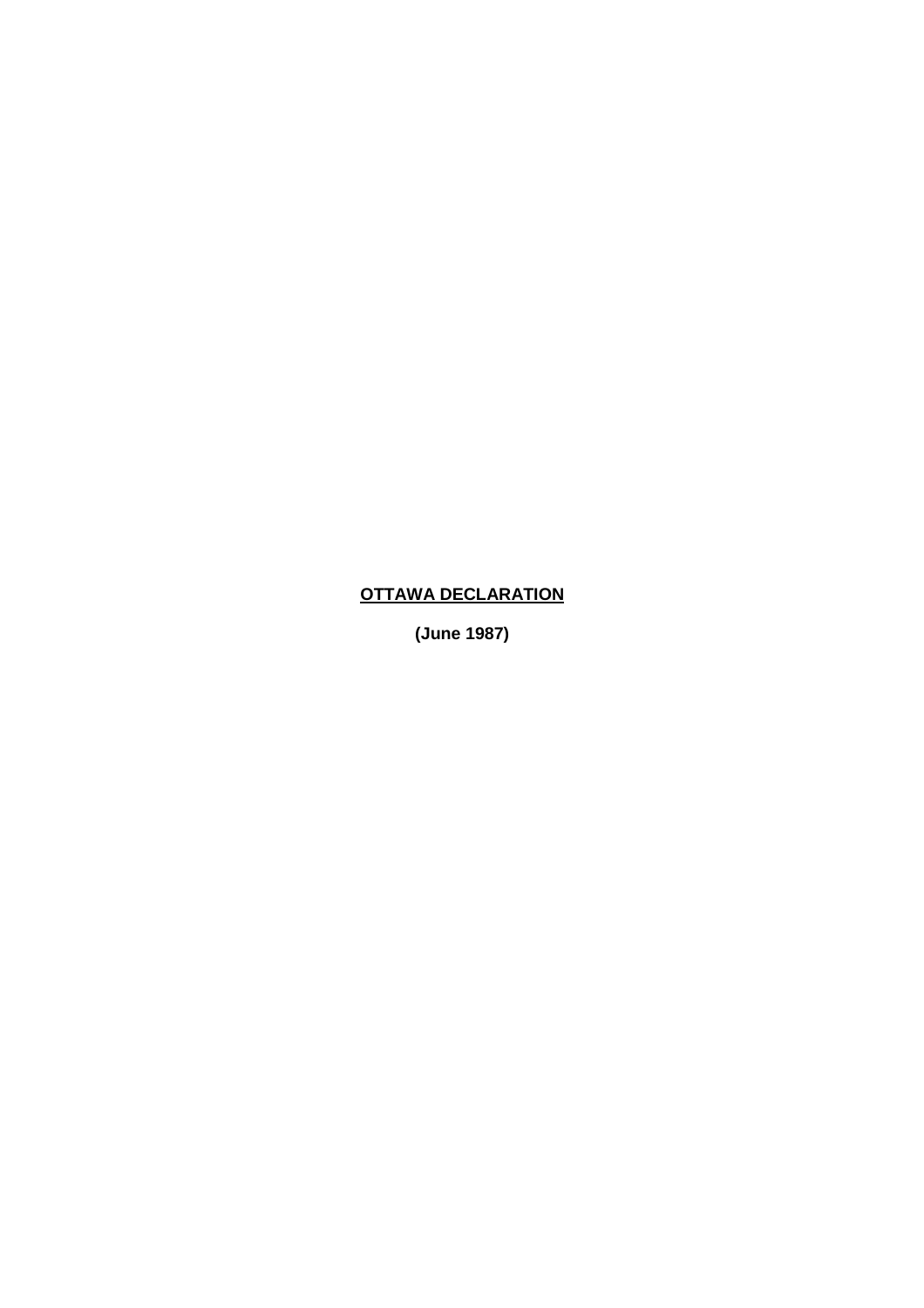## **OTTAWA DECLARATION**

**(June 1987)**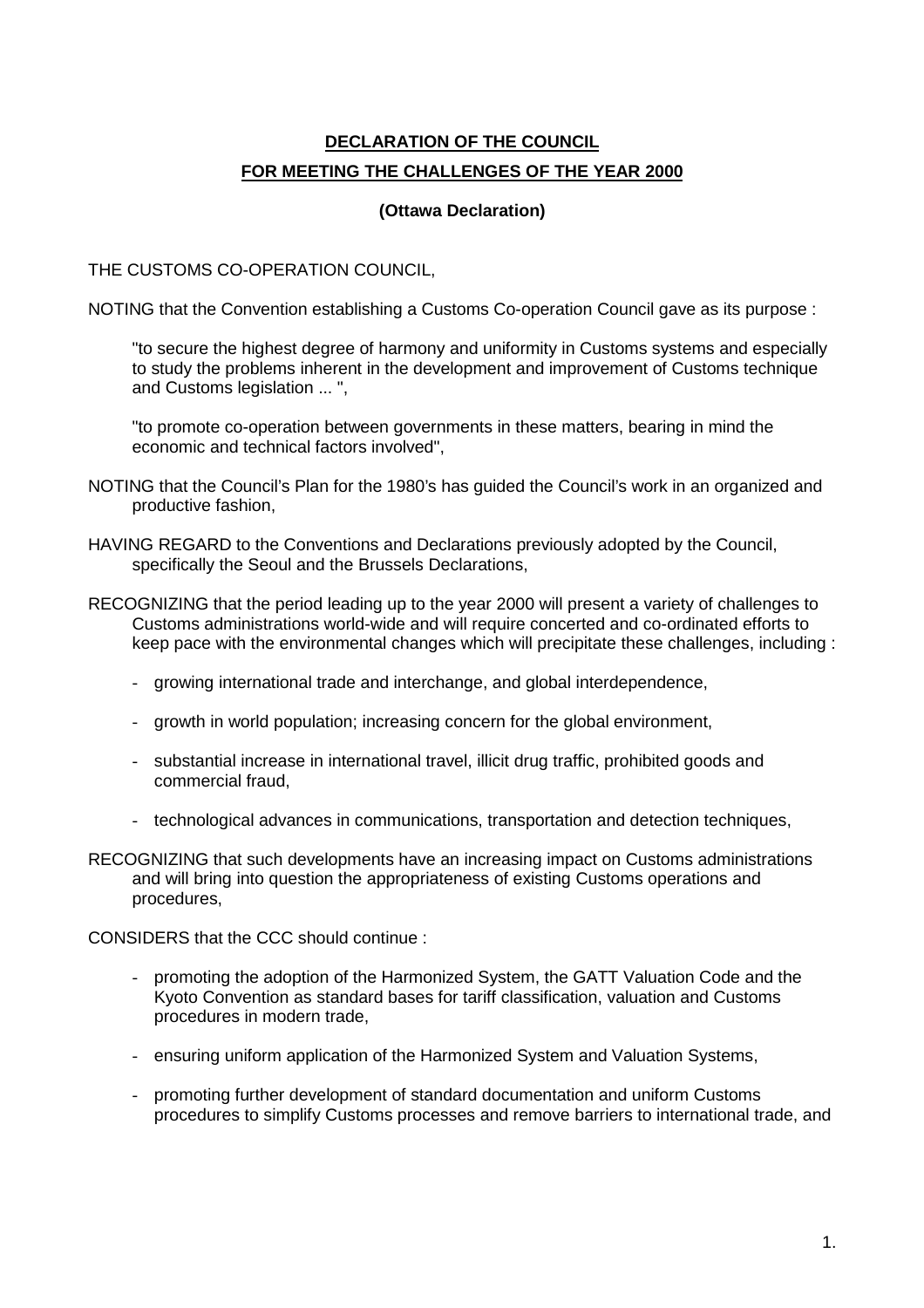## **DECLARATION OF THE COUNCIL FOR MEETING THE CHALLENGES OF THE YEAR 2000**

## **(Ottawa Declaration)**

THE CUSTOMS CO-OPERATION COUNCIL,

NOTING that the Convention establishing a Customs Co-operation Council gave as its purpose :

"to secure the highest degree of harmony and uniformity in Customs systems and especially to study the problems inherent in the development and improvement of Customs technique and Customs legislation ... ",

"to promote co-operation between governments in these matters, bearing in mind the economic and technical factors involved",

- NOTING that the Council's Plan for the 1980's has guided the Council's work in an organized and productive fashion,
- HAVING REGARD to the Conventions and Declarations previously adopted by the Council, specifically the Seoul and the Brussels Declarations,
- RECOGNIZING that the period leading up to the year 2000 will present a variety of challenges to Customs administrations world-wide and will require concerted and co-ordinated efforts to keep pace with the environmental changes which will precipitate these challenges, including :
	- growing international trade and interchange, and global interdependence,
	- growth in world population; increasing concern for the global environment,
	- substantial increase in international travel, illicit drug traffic, prohibited goods and commercial fraud,
	- technological advances in communications, transportation and detection techniques,
- RECOGNIZING that such developments have an increasing impact on Customs administrations and will bring into question the appropriateness of existing Customs operations and procedures,

CONSIDERS that the CCC should continue :

- promoting the adoption of the Harmonized System, the GATT Valuation Code and the Kyoto Convention as standard bases for tariff classification, valuation and Customs procedures in modern trade,
- ensuring uniform application of the Harmonized System and Valuation Systems,
- promoting further development of standard documentation and uniform Customs procedures to simplify Customs processes and remove barriers to international trade, and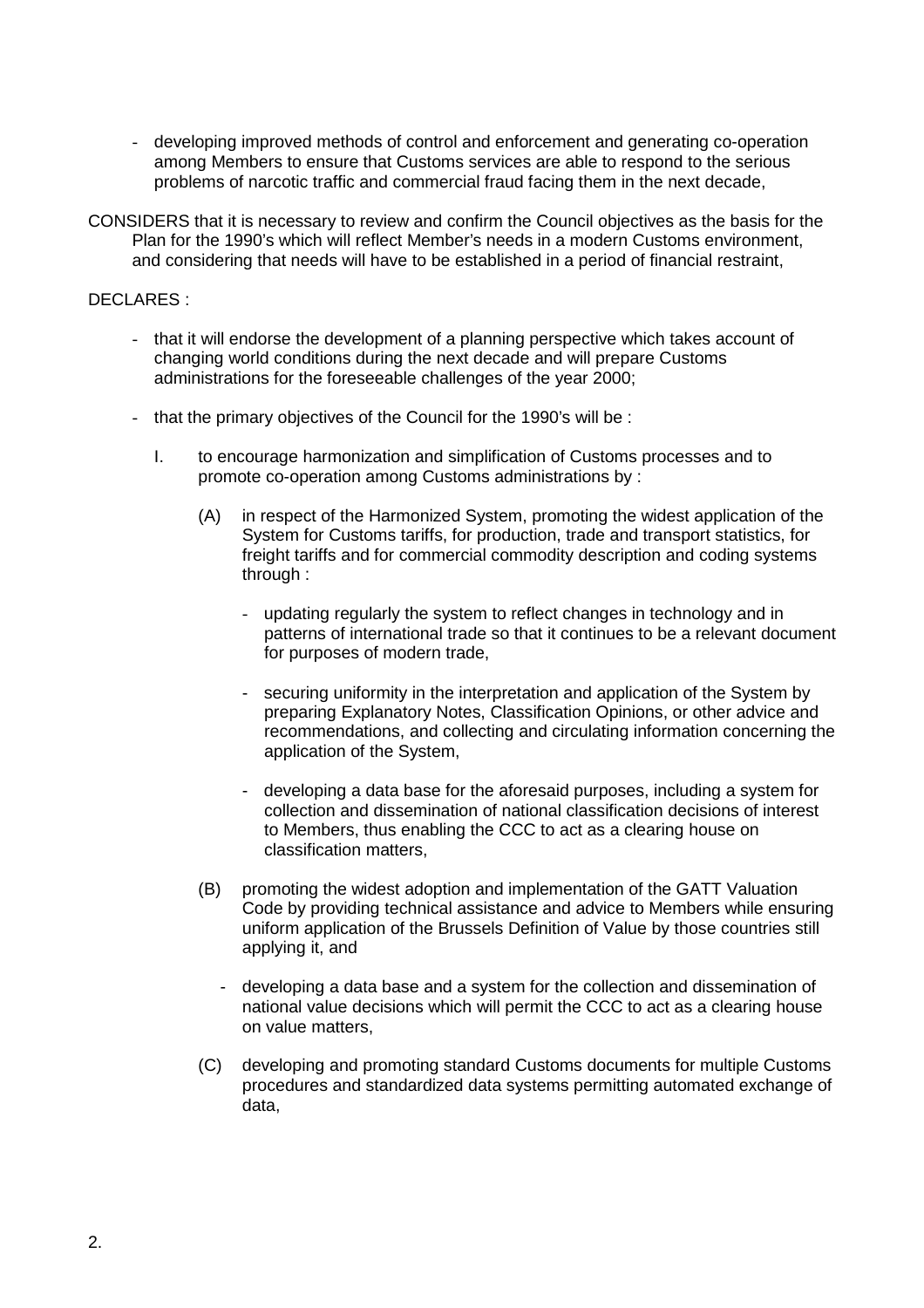- developing improved methods of control and enforcement and generating co-operation among Members to ensure that Customs services are able to respond to the serious problems of narcotic traffic and commercial fraud facing them in the next decade,
- CONSIDERS that it is necessary to review and confirm the Council objectives as the basis for the Plan for the 1990's which will reflect Member's needs in a modern Customs environment, and considering that needs will have to be established in a period of financial restraint,

## DECLARES :

- that it will endorse the development of a planning perspective which takes account of changing world conditions during the next decade and will prepare Customs administrations for the foreseeable challenges of the year 2000;
- that the primary objectives of the Council for the 1990's will be :
	- I. to encourage harmonization and simplification of Customs processes and to promote co-operation among Customs administrations by :
		- (A) in respect of the Harmonized System, promoting the widest application of the System for Customs tariffs, for production, trade and transport statistics, for freight tariffs and for commercial commodity description and coding systems through :
			- updating regularly the system to reflect changes in technology and in patterns of international trade so that it continues to be a relevant document for purposes of modern trade,
			- securing uniformity in the interpretation and application of the System by preparing Explanatory Notes, Classification Opinions, or other advice and recommendations, and collecting and circulating information concerning the application of the System,
			- developing a data base for the aforesaid purposes, including a system for collection and dissemination of national classification decisions of interest to Members, thus enabling the CCC to act as a clearing house on classification matters,
		- (B) promoting the widest adoption and implementation of the GATT Valuation Code by providing technical assistance and advice to Members while ensuring uniform application of the Brussels Definition of Value by those countries still applying it, and
			- developing a data base and a system for the collection and dissemination of national value decisions which will permit the CCC to act as a clearing house on value matters,
		- (C) developing and promoting standard Customs documents for multiple Customs procedures and standardized data systems permitting automated exchange of data,